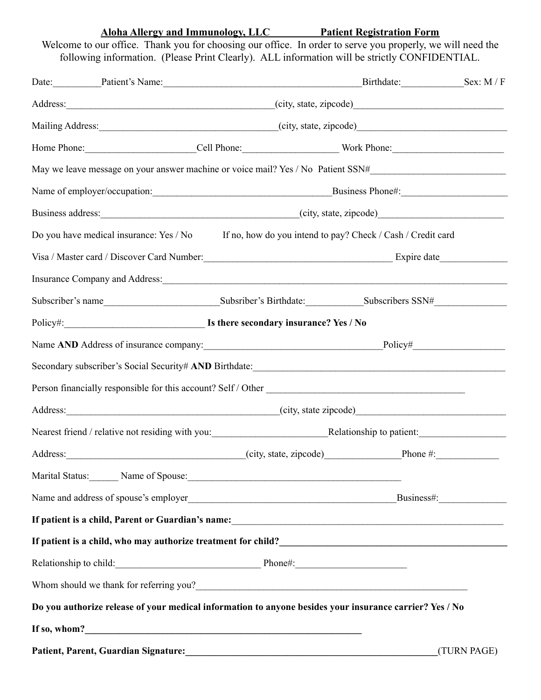**Aloha Allergy and Immunology, LLC Patient Registration Form**

Welcome to our office. Thank you for choosing our office. In order to serve you properly, we will need the following information. (Please Print Clearly). ALL information will be strictly CONFIDENTIAL.

|  | Date: Patient's Name:                                                                                                                                                                                                                |                                                                                                     | Birthdate: Sex: M/F |             |  |
|--|--------------------------------------------------------------------------------------------------------------------------------------------------------------------------------------------------------------------------------------|-----------------------------------------------------------------------------------------------------|---------------------|-------------|--|
|  |                                                                                                                                                                                                                                      | Address: (city, state, zipcode)                                                                     |                     |             |  |
|  |                                                                                                                                                                                                                                      |                                                                                                     |                     |             |  |
|  | Home Phone: Cell Phone: Work Phone: Work Phone:                                                                                                                                                                                      |                                                                                                     |                     |             |  |
|  | May we leave message on your answer machine or voice mail? Yes / No Patient SSN#______________________________                                                                                                                       |                                                                                                     |                     |             |  |
|  |                                                                                                                                                                                                                                      |                                                                                                     |                     |             |  |
|  |                                                                                                                                                                                                                                      |                                                                                                     |                     |             |  |
|  |                                                                                                                                                                                                                                      | Do you have medical insurance: Yes / No If no, how do you intend to pay? Check / Cash / Credit card |                     |             |  |
|  | Visa / Master card / Discover Card Number: Expire date Expire date                                                                                                                                                                   |                                                                                                     |                     |             |  |
|  | Insurance Company and Address: 1988 and 2008 and 2008 and 2008 and 2008 and 2008 and 2008 and 2008 and 2008 and 2008 and 2008 and 2008 and 2008 and 2008 and 2008 and 2008 and 2008 and 2008 and 2008 and 2008 and 2008 and 20       |                                                                                                     |                     |             |  |
|  | Subscriber's name Subscriber's Birthdate: Subscribers SSN# Subscribers = SNH                                                                                                                                                         |                                                                                                     |                     |             |  |
|  |                                                                                                                                                                                                                                      |                                                                                                     |                     |             |  |
|  |                                                                                                                                                                                                                                      |                                                                                                     |                     |             |  |
|  | Secondary subscriber's Social Security# AND Birthdate:                                                                                                                                                                               |                                                                                                     |                     |             |  |
|  |                                                                                                                                                                                                                                      |                                                                                                     |                     |             |  |
|  | Address: (city, state zipcode)                                                                                                                                                                                                       |                                                                                                     |                     |             |  |
|  |                                                                                                                                                                                                                                      |                                                                                                     |                     |             |  |
|  | Address: <u>City, state, zipcode)</u> Phone #: Phone #:                                                                                                                                                                              |                                                                                                     |                     |             |  |
|  | Marital Status: Name of Spouse: Name of Spouse: Name of Spouse: Name of Spouse: Name of Spouse: Name of Spouse: Name of Spouse: Name of Spouse: Name of Spouse: Name of Spouse: Name of Spouse: Name of Spouse: Name of Spouse       |                                                                                                     |                     |             |  |
|  | Name and address of spouse's employer<br><u>Business#</u>                                                                                                                                                                            |                                                                                                     |                     |             |  |
|  |                                                                                                                                                                                                                                      |                                                                                                     |                     |             |  |
|  | If patient is a child, who may authorize treatment for child?<br><u>Letting and the contract of patients</u> and the manner of the manner of the manner of the manner of the manner of the manner of the manner of the manner of the |                                                                                                     |                     |             |  |
|  | Relationship to child: Phone#: Phone#:                                                                                                                                                                                               |                                                                                                     |                     |             |  |
|  | Whom should we thank for referring you?                                                                                                                                                                                              |                                                                                                     |                     |             |  |
|  | Do you authorize release of your medical information to anyone besides your insurance carrier? Yes / No                                                                                                                              |                                                                                                     |                     |             |  |
|  |                                                                                                                                                                                                                                      |                                                                                                     |                     |             |  |
|  | Patient, Parent, Guardian Signature:                                                                                                                                                                                                 |                                                                                                     |                     | (TURN PAGE) |  |